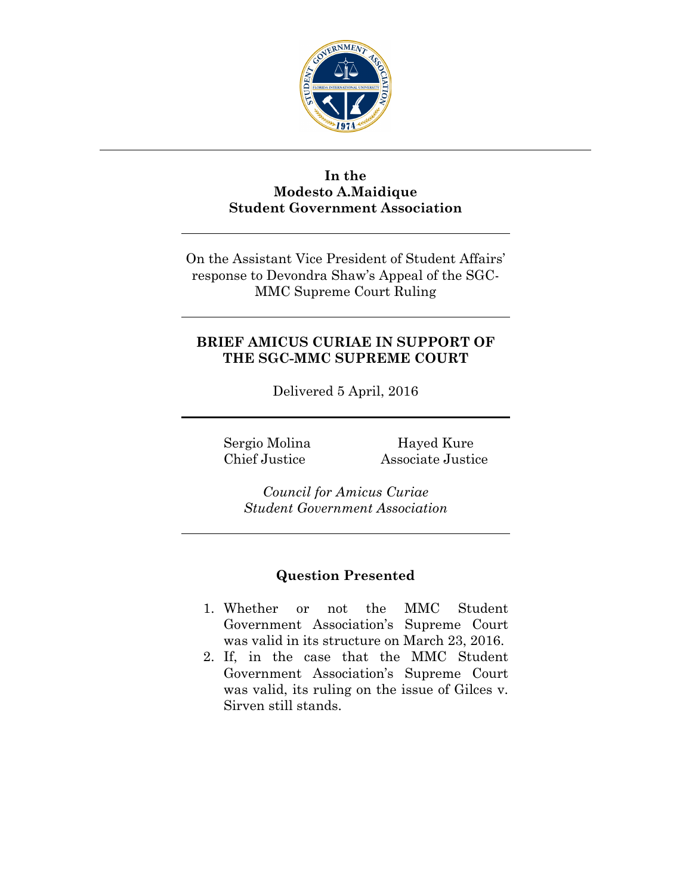

## **In the Modesto A.Maidique Student Government Association**

On the Assistant Vice President of Student Affairs' response to Devondra Shaw's Appeal of the SGC-MMC Supreme Court Ruling

## **BRIEF AMICUS CURIAE IN SUPPORT OF THE SGC-MMC SUPREME COURT**

Delivered 5 April, 2016

Sergio Molina Hayed Kure Chief Justice Associate Justice

*Council for Amicus Curiae Student Government Association*

## **Question Presented**

- 1. Whether or not the MMC Student Government Association's Supreme Court was valid in its structure on March 23, 2016.
- 2. If, in the case that the MMC Student Government Association's Supreme Court was valid, its ruling on the issue of Gilces v. Sirven still stands.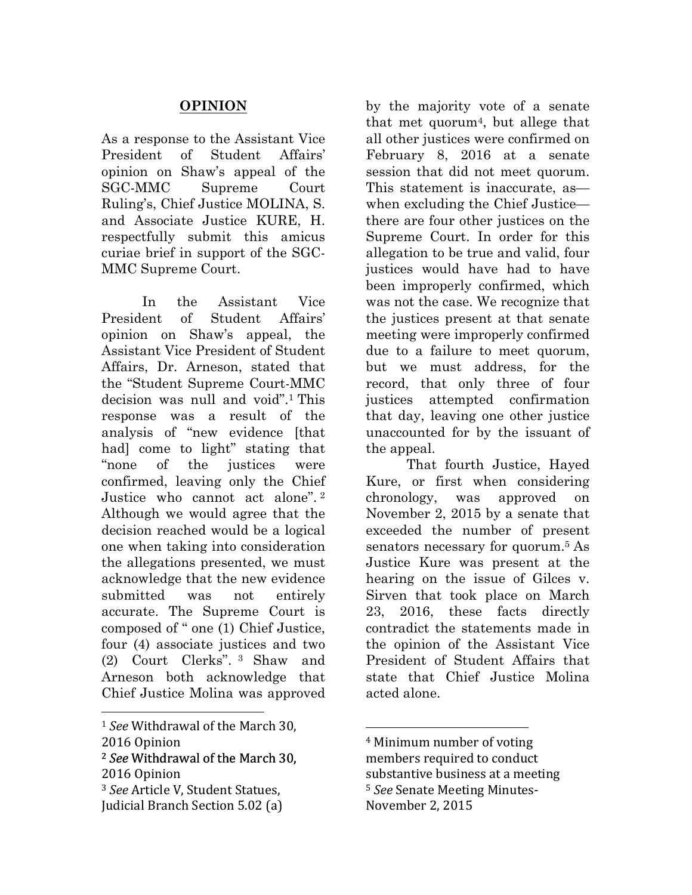## **OPINION**

As a response to the Assistant Vice President of Student Affairs' opinion on Shaw's appeal of the SGC-MMC Supreme Court Ruling's, Chief Justice MOLINA, S. and Associate Justice KURE, H. respectfully submit this amicus curiae brief in support of the SGC-MMC Supreme Court.

In the Assistant Vice President of Student Affairs' opinion on Shaw's appeal, the Assistant Vice President of Student Affairs, Dr. Arneson, stated that the "Student Supreme Court-MMC decision was null and void".1 This response was a result of the analysis of "new evidence [that had] come to light" stating that "none of the justices were confirmed, leaving only the Chief Justice who cannot act alone". <sup>2</sup> Although we would agree that the decision reached would be a logical one when taking into consideration the allegations presented, we must acknowledge that the new evidence submitted was not entirely accurate. The Supreme Court is composed of " one (1) Chief Justice, four (4) associate justices and two (2) Court Clerks". <sup>3</sup> Shaw and Arneson both acknowledge that Chief Justice Molina was approved

<sup>2</sup> See Withdrawal of the March 30, 2016 Opinion

 

by the majority vote of a senate that met quorum<sup>4</sup>, but allege that all other justices were confirmed on February 8, 2016 at a senate session that did not meet quorum. This statement is inaccurate, as when excluding the Chief Justice there are four other justices on the Supreme Court. In order for this allegation to be true and valid, four justices would have had to have been improperly confirmed, which was not the case. We recognize that the justices present at that senate meeting were improperly confirmed due to a failure to meet quorum, but we must address, for the record, that only three of four justices attempted confirmation that day, leaving one other justice unaccounted for by the issuant of the appeal.

That fourth Justice, Hayed Kure, or first when considering chronology, was approved on November 2, 2015 by a senate that exceeded the number of present senators necessary for quorum.<sup>5</sup> As Justice Kure was present at the hearing on the issue of Gilces v. Sirven that took place on March 23, 2016, these facts directly contradict the statements made in the opinion of the Assistant Vice President of Student Affairs that state that Chief Justice Molina acted alone.

<sup>&</sup>lt;sup>1</sup> *See* Withdrawal of the March 30,

<sup>2016</sup> Opinion

<sup>&</sup>lt;sup>3</sup> See Article V, Student Statues,

Judicial Branch Section 5.02 (a)

 <sup>4</sup> Minimum number of voting members required to conduct substantive business at a meeting <sup>5</sup> See Senate Meeting Minutes-November 2, 2015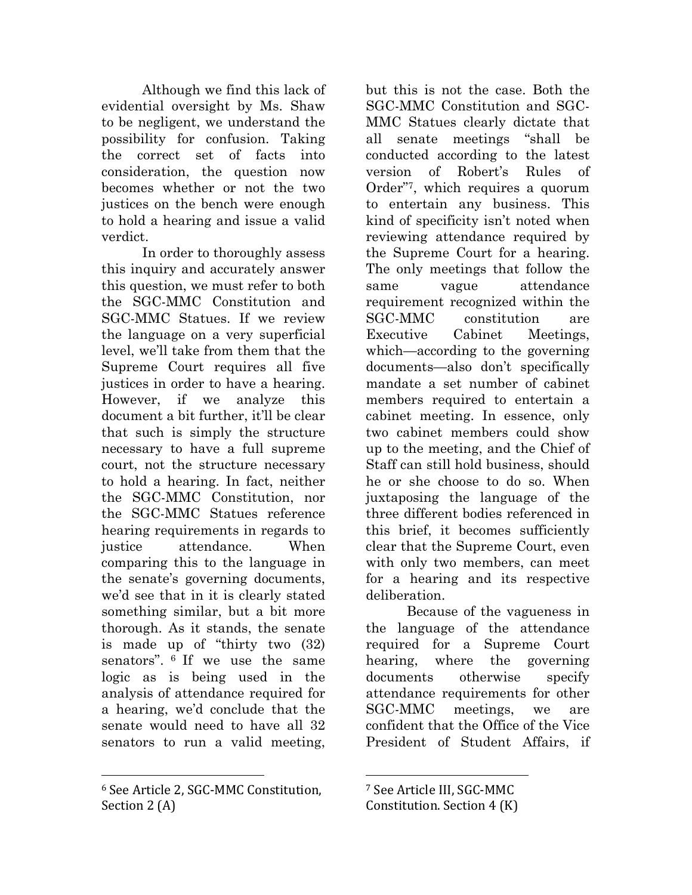Although we find this lack of evidential oversight by Ms. Shaw to be negligent, we understand the possibility for confusion. Taking the correct set of facts into consideration, the question now becomes whether or not the two justices on the bench were enough to hold a hearing and issue a valid verdict.

In order to thoroughly assess this inquiry and accurately answer this question, we must refer to both the SGC-MMC Constitution and SGC-MMC Statues. If we review the language on a very superficial level, we'll take from them that the Supreme Court requires all five justices in order to have a hearing. However, if we analyze this document a bit further, it'll be clear that such is simply the structure necessary to have a full supreme court, not the structure necessary to hold a hearing. In fact, neither the SGC-MMC Constitution, nor the SGC-MMC Statues reference hearing requirements in regards to justice attendance. When comparing this to the language in the senate's governing documents, we'd see that in it is clearly stated something similar, but a bit more thorough. As it stands, the senate is made up of "thirty two (32) senators". 6 If we use the same logic as is being used in the analysis of attendance required for a hearing, we'd conclude that the senate would need to have all 32 senators to run a valid meeting,

<sup>6</sup> See Article 2, SGC-MMC Constitution, Section  $2(A)$ 

 

but this is not the case. Both the SGC-MMC Constitution and SGC-MMC Statues clearly dictate that all senate meetings "shall be conducted according to the latest version of Robert's Rules of Order"7, which requires a quorum to entertain any business. This kind of specificity isn't noted when reviewing attendance required by the Supreme Court for a hearing. The only meetings that follow the same vague attendance requirement recognized within the SGC-MMC constitution are Executive Cabinet Meetings, which—according to the governing documents—also don't specifically mandate a set number of cabinet members required to entertain a cabinet meeting. In essence, only two cabinet members could show up to the meeting, and the Chief of Staff can still hold business, should he or she choose to do so. When juxtaposing the language of the three different bodies referenced in this brief, it becomes sufficiently clear that the Supreme Court, even with only two members, can meet for a hearing and its respective deliberation.

Because of the vagueness in the language of the attendance required for a Supreme Court hearing, where the governing documents otherwise specify attendance requirements for other SGC-MMC meetings, we are confident that the Office of the Vice President of Student Affairs, if

 <sup>7</sup> See Article III, SGC-MMC

Constitution. Section  $4(K)$